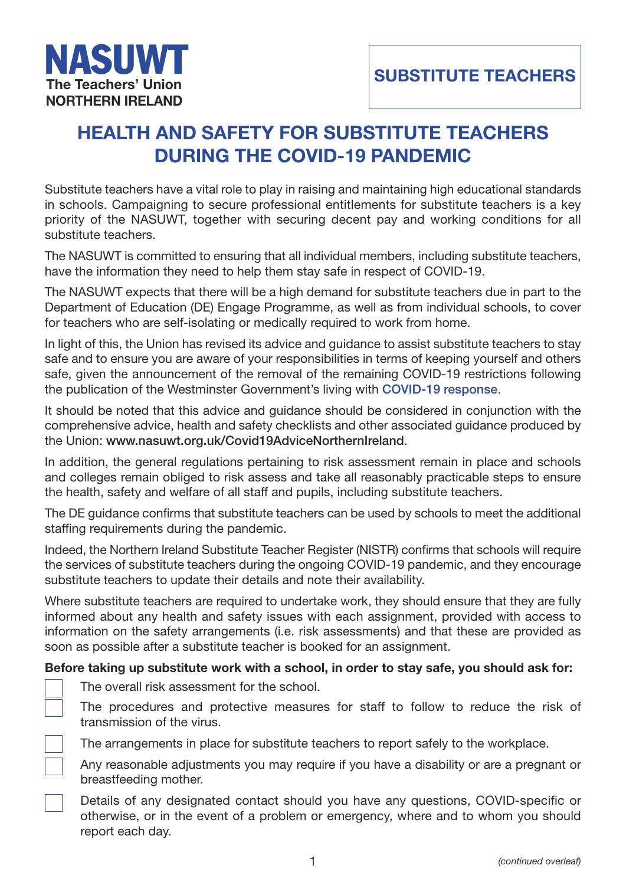

# **HEALTH AND SAFETY FOR SUBSTITUTE TEACHERS DURING THE COVID-19 PANDEMIC**

Substitute teachers have a vital role to play in raising and maintaining high educational standards in schools. Campaigning to secure professional entitlements for substitute teachers is a key priority of the NASUWT, together with securing decent pay and working conditions for all substitute teachers.

The NASUWT is committed to ensuring that all individual members, including substitute teachers, have the information they need to help them stay safe in respect of COVID-19.

The NASUWT expects that there will be a high demand for substitute teachers due in part to the Department of Education (DE) Engage Programme, as well as from individual schools, to cover for teachers who are self-isolating or medically required to work from home.

In light of this, the Union has revised its advice and guidance to assist substitute teachers to stay safe and to ensure you are aware of your responsibilities in terms of keeping yourself and others safe, given the announcement of the removal of the remaining COVID-19 restrictions following the publication of the Westminster Government's living with **COVID-19 response**.

It should be noted that this advice and guidance should be considered in conjunction with the comprehensive advice, health and safety checklists and other associated guidance produced by the Union: **www.nasuwt.org.uk/Covid19AdviceNorthernIre[land](https://www.gov.uk/government/publications/covid-19-response-living-with-covid-19)**.

In addition, the general regulations pertaining to risk assessment remain in place and schools and colleges remain obliged to risk assess and take all reasonably practicable steps to ensure the health, [safety and welfare of all staff and pupils, including su](https://www.nasuwt.org.uk/advice/health-safety/coronavirus-guidance/full-reopening-of-schools/full-reopening-of-schools-northern-ireland.html)bstitute teachers.

The DE guidance confirms that substitute teachers can be used by schools to meet the additional staffing requirements during the pandemic.

Indeed, the Northern Ireland Substitute Teacher Register (NISTR) confirms that schools will require the services of substitute teachers during the ongoing COVID-19 pandemic, and they encourage substitute teachers to update their details and note their availability.

Where substitute teachers are required to undertake work, they should ensure that they are fully informed about any health and safety issues with each assignment, provided with access to information on the safety arrangements (i.e. risk assessments) and that these are provided as soon as possible after a substitute teacher is booked for an assignment.

### **Before taking up substitute work with a school, in order to stay safe, you should ask for:**

The overall risk assessment for the school.

The procedures and protective measures for staff to follow to reduce the risk of transmission of the virus.

The arrangements in place for substitute teachers to report safely to the workplace.

Any reasonable adjustments you may require if you have a disability or are a pregnant or breastfeeding mother.

Details of any designated contact should you have any questions, COVID-specific or otherwise, or in the event of a problem or emergency, where and to whom you should report each day.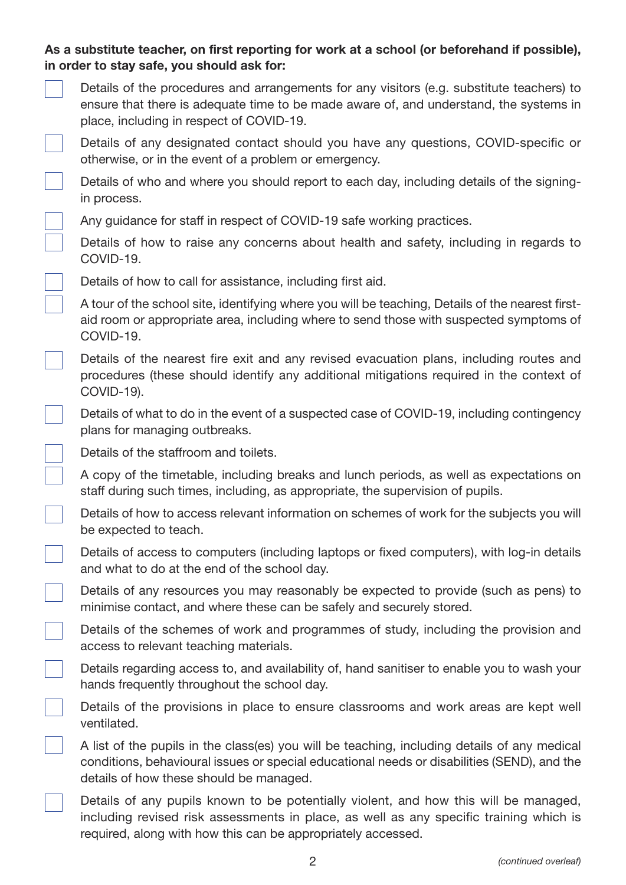# **As a substitute teacher, on first reporting for work at a school (or beforehand if possible), in order to stay safe, you should ask for:**

| Details of the procedures and arrangements for any visitors (e.g. substitute teachers) to |
|-------------------------------------------------------------------------------------------|
| ensure that there is adequate time to be made aware of, and understand, the systems in    |
| place, including in respect of COVID-19.                                                  |

Details of any designated contact should you have any questions, COVID-specific or otherwise, or in the event of a problem or emergency.

Details of who and where you should report to each day, including details of the signingin process.

Any guidance for staff in respect of COVID-19 safe working practices.

Details of how to raise any concerns about health and safety, including in regards to COVID-19.

Details of how to call for assistance, including first aid.

A tour of the school site, identifying where you will be teaching, Details of the nearest firstaid room or appropriate area, including where to send those with suspected symptoms of COVID-19.

Details of the nearest fire exit and any revised evacuation plans, including routes and procedures (these should identify any additional mitigations required in the context of COVID-19).

Details of what to do in the event of a suspected case of COVID-19, including contingency plans for managing outbreaks.

Details of the staffroom and toilets.

A copy of the timetable, including breaks and lunch periods, as well as expectations on staff during such times, including, as appropriate, the supervision of pupils.

Details of how to access relevant information on schemes of work for the subjects you will be expected to teach.

Details of access to computers (including laptops or fixed computers), with log-in details and what to do at the end of the school day.

Details of any resources you may reasonably be expected to provide (such as pens) to minimise contact, and where these can be safely and securely stored.

Details of the schemes of work and programmes of study, including the provision and access to relevant teaching materials.

Details regarding access to, and availability of, hand sanitiser to enable you to wash your hands frequently throughout the school day.

Details of the provisions in place to ensure classrooms and work areas are kept well ventilated.

A list of the pupils in the class(es) you will be teaching, including details of any medical conditions, behavioural issues or special educational needs or disabilities (SEND), and the details of how these should be managed.

Details of any pupils known to be potentially violent, and how this will be managed, including revised risk assessments in place, as well as any specific training which is required, along with how this can be appropriately accessed.